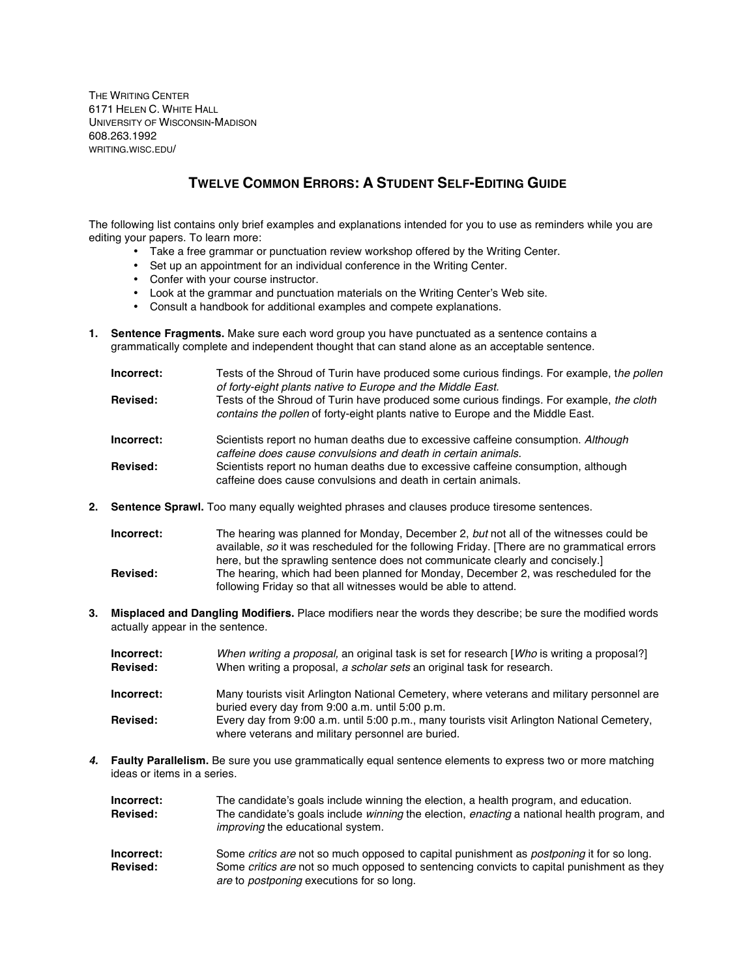THE WRITING CENTER 6171 HELEN C. WHITE HALL UNIVERSITY OF WISCONSIN-MADISON 608.263.1992 WRITING.WISC.EDU/

## **TWELVE COMMON ERRORS: A STUDENT SELF-EDITING GUIDE**

The following list contains only brief examples and explanations intended for you to use as reminders while you are editing your papers. To learn more:

- Take a free grammar or punctuation review workshop offered by the Writing Center.
- Set up an appointment for an individual conference in the Writing Center.
- Confer with your course instructor.
- Look at the grammar and punctuation materials on the Writing Center's Web site.
- Consult a handbook for additional examples and compete explanations.
- **1. Sentence Fragments.** Make sure each word group you have punctuated as a sentence contains a grammatically complete and independent thought that can stand alone as an acceptable sentence.

| Incorrect:      | Tests of the Shroud of Turin have produced some curious findings. For example, the pollen<br>of forty-eight plants native to Europe and the Middle East.                    |
|-----------------|-----------------------------------------------------------------------------------------------------------------------------------------------------------------------------|
| <b>Revised:</b> | Tests of the Shroud of Turin have produced some curious findings. For example, the cloth<br>contains the pollen of forty-eight plants native to Europe and the Middle East. |
| Incorrect:      | Scientists report no human deaths due to excessive caffeine consumption. Although<br>caffeine does cause convulsions and death in certain animals.                          |
| <b>Revised:</b> | Scientists report no human deaths due to excessive caffeine consumption, although<br>caffeine does cause convulsions and death in certain animals.                          |

**2. Sentence Sprawl.** Too many equally weighted phrases and clauses produce tiresome sentences.

| Incorrect:      | The hearing was planned for Monday, December 2, but not all of the witnesses could be       |
|-----------------|---------------------------------------------------------------------------------------------|
|                 | available, so it was rescheduled for the following Friday. [There are no grammatical errors |
|                 | here, but the sprawling sentence does not communicate clearly and concisely.                |
| <b>Revised:</b> | The hearing, which had been planned for Monday, December 2, was rescheduled for the         |
|                 | following Friday so that all witnesses would be able to attend.                             |

**3. Misplaced and Dangling Modifiers.** Place modifiers near the words they describe; be sure the modified words actually appear in the sentence.

| Incorrect:<br><b>Revised:</b> | When writing a proposal, an original task is set for research [Who is writing a proposal?]<br>When writing a proposal, a scholar sets an original task for research. |
|-------------------------------|----------------------------------------------------------------------------------------------------------------------------------------------------------------------|
| Incorrect:                    | Many tourists visit Arlington National Cemetery, where veterans and military personnel are<br>buried every day from 9:00 a.m. until 5:00 p.m.                        |
| <b>Revised:</b>               | Every day from 9:00 a.m. until 5:00 p.m., many tourists visit Arlington National Cemetery,<br>where veterans and military personnel are buried.                      |

*4.* **Faulty Parallelism.** Be sure you use grammatically equal sentence elements to express two or more matching ideas or items in a series.

| Incorrect:      | The candidate's goals include winning the election, a health program, and education.                                                                  |
|-----------------|-------------------------------------------------------------------------------------------------------------------------------------------------------|
| <b>Revised:</b> | The candidate's goals include <i>winning</i> the election, <i>enacting</i> a national health program, and<br><i>improving</i> the educational system. |
| Incorrect:      | Some critics are not so much opposed to capital punishment as <i>postponing</i> it for so long.                                                       |
| <b>Revised:</b> | Some <i>critics are</i> not so much opposed to sentencing convicts to capital punishment as they<br>are to <i>postponing</i> executions for so long.  |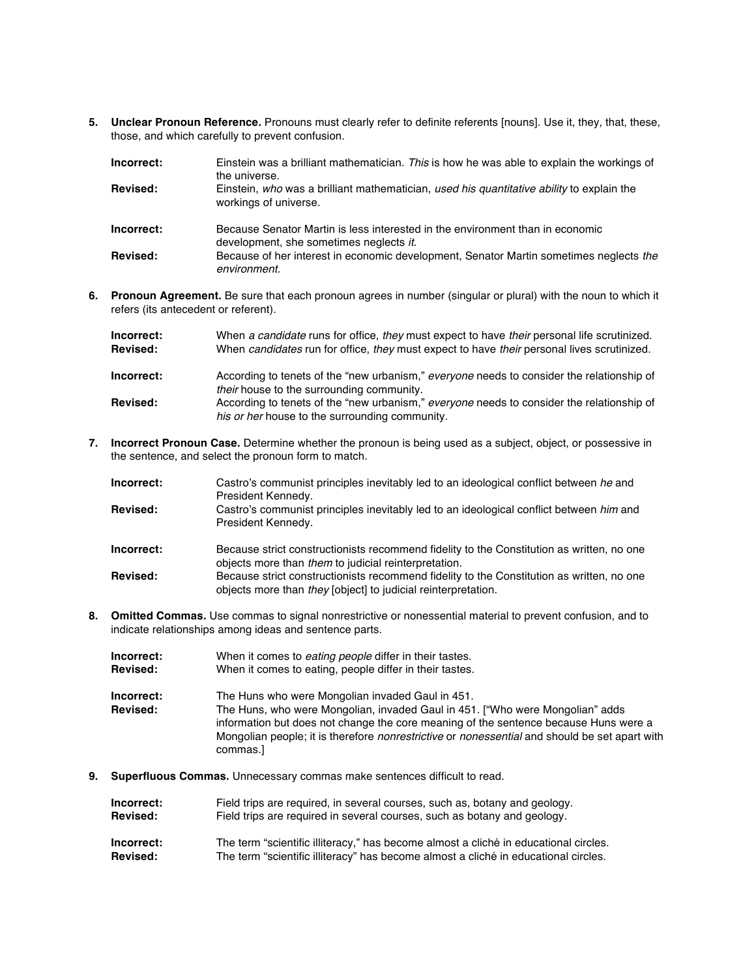**5. Unclear Pronoun Reference.** Pronouns must clearly refer to definite referents [nouns]. Use it, they, that, these, those, and which carefully to prevent confusion.

| Incorrect: | Einstein was a brilliant mathematician. This is how he was able to explain the workings of<br>the universe.              |
|------------|--------------------------------------------------------------------------------------------------------------------------|
| Revised:   | Einstein, who was a brilliant mathematician, used his quantitative ability to explain the<br>workings of universe.       |
| Incorrect: | Because Senator Martin is less interested in the environment than in economic<br>development, she sometimes neglects it. |
| Revised:   | Because of her interest in economic development, Senator Martin sometimes neglects the<br>environment.                   |

**6. Pronoun Agreement.** Be sure that each pronoun agrees in number (singular or plural) with the noun to which it refers (its antecedent or referent).

| Incorrect:<br><b>Revised:</b> | When a candidate runs for office, they must expect to have their personal life scrutinized.<br>When candidates run for office, they must expect to have their personal lives scrutinized. |
|-------------------------------|-------------------------------------------------------------------------------------------------------------------------------------------------------------------------------------------|
| Incorrect:                    | According to tenets of the "new urbanism," everyone needs to consider the relationship of<br>their house to the surrounding community.                                                    |
| <b>Revised:</b>               | According to tenets of the "new urbanism," everyone needs to consider the relationship of<br>his or her house to the surrounding community.                                               |

**7. Incorrect Pronoun Case.** Determine whether the pronoun is being used as a subject, object, or possessive in the sentence, and select the pronoun form to match.

| Incorrect: | Castro's communist principles inevitably led to an ideological conflict between he and<br>President Kennedy.                                               |
|------------|------------------------------------------------------------------------------------------------------------------------------------------------------------|
| Revised:   | Castro's communist principles inevitably led to an ideological conflict between him and<br>President Kennedy.                                              |
| Incorrect: | Because strict constructionists recommend fidelity to the Constitution as written, no one<br>objects more than them to judicial reinterpretation.          |
| Revised:   | Because strict constructionists recommend fidelity to the Constitution as written, no one<br>objects more than they [object] to judicial reinterpretation. |

**8. Omitted Commas***.* Use commas to signal nonrestrictive or nonessential material to prevent confusion, and to indicate relationships among ideas and sentence parts.

| Incorrect:                    | When it comes to <i>eating people</i> differ in their tastes.                                                                                                                                                                                                                                                                                        |
|-------------------------------|------------------------------------------------------------------------------------------------------------------------------------------------------------------------------------------------------------------------------------------------------------------------------------------------------------------------------------------------------|
| <b>Revised:</b>               | When it comes to eating, people differ in their tastes.                                                                                                                                                                                                                                                                                              |
| Incorrect:<br><b>Revised:</b> | The Huns who were Mongolian invaded Gaul in 451.<br>The Huns, who were Mongolian, invaded Gaul in 451. ["Who were Mongolian" adds<br>information but does not change the core meaning of the sentence because Huns were a<br>Mongolian people; it is therefore <i>nonrestrictive</i> or <i>nonessential</i> and should be set apart with<br>commas.] |

**9. Superfluous Commas.** Unnecessary commas make sentences difficult to read.

| Incorrect: | Field trips are required, in several courses, such as, botany and geology. |
|------------|----------------------------------------------------------------------------|
| Revised:   | Field trips are required in several courses, such as botany and geology.   |
|            |                                                                            |

**Incorrect:** The term "scientific illiteracy," has become almost a cliché in educational circles. **Revised:** The term "scientific illiteracy" has become almost a cliché in educational circles.